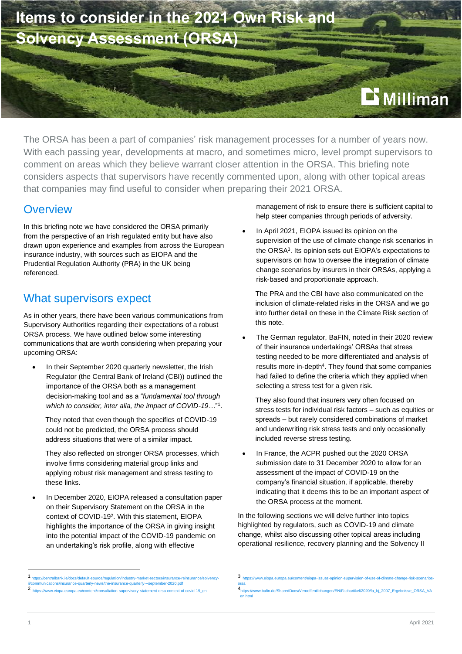

The ORSA has been a part of companies' risk management processes for a number of years now. With each passing year, developments at macro, and sometimes micro, level prompt supervisors to comment on areas which they believe warrant closer attention in the ORSA. This briefing note considers aspects that supervisors have recently commented upon, along with other topical areas that companies may find useful to consider when preparing their 2021 ORSA.

#### **Overview**

In this briefing note we have considered the ORSA primarily from the perspective of an Irish regulated entity but have also drawn upon experience and examples from across the European insurance industry, with sources such as EIOPA and the Prudential Regulation Authority (PRA) in the UK being referenced.

#### What supervisors expect

As in other years, there have been various communications from Supervisory Authorities regarding their expectations of a robust ORSA process. We have outlined below some interesting communications that are worth considering when preparing your upcoming ORSA:

In their September 2020 quarterly newsletter, the Irish Regulator (the Central Bank of Ireland (CBI)) outlined the importance of the ORSA both as a management decision-making tool and as a "*fundamental tool through*  which to consider, inter alia, the impact of COVID-19..."<sup>1</sup>.

They noted that even though the specifics of COVID-19 could not be predicted, the ORSA process should address situations that were of a similar impact.

They also reflected on stronger ORSA processes, which involve firms considering material group links and applying robust risk management and stress testing to these links.

• In December 2020, EIOPA released a consultation paper on their Supervisory Statement on the ORSA in the context of COVID-19<sup>2</sup> . With this statement, EIOPA highlights the importance of the ORSA in giving insight into the potential impact of the COVID-19 pandemic on an undertaking's risk profile, along with effective

management of risk to ensure there is sufficient capital to help steer companies through periods of adversity.

In April 2021, EIOPA issued its opinion on the supervision of the use of climate change risk scenarios in the ORSA<sup>3</sup> . Its opinion sets out EIOPA's expectations to supervisors on how to oversee the integration of climate change scenarios by insurers in their ORSAs, applying a risk-based and proportionate approach.

The PRA and the CBI have also communicated on the inclusion of climate-related risks in the ORSA and we go into further detail on these in the Climate Risk section of this note.

The German regulator, BaFIN, noted in their 2020 review of their insurance undertakings' ORSAs that stress testing needed to be more differentiated and analysis of results more in-depth<sup>4</sup>. They found that some companies had failed to define the criteria which they applied when selecting a stress test for a given risk.

They also found that insurers very often focused on stress tests for individual risk factors – such as equities or spreads – but rarely considered combinations of market and underwriting risk stress tests and only occasionally included reverse stress testing.

In France, the ACPR pushed out the 2020 ORSA submission date to 31 December 2020 to allow for an assessment of the impact of COVID-19 on the company's financial situation, if applicable, thereby indicating that it deems this to be an important aspect of the ORSA process at the moment.

In the following sections we will delve further into topics highlighted by regulators, such as COVID-19 and climate change, whilst also discussing other topical areas including operational resilience, recovery planning and the Solvency II

<sup>1</sup> [https://centralbank.ie/docs/default-source/regulation/industry-market-sectors/insurance-reinsurance/solvency](https://centralbank.ie/docs/default-source/regulation/industry-market-sectors/insurance-reinsurance/solvency-ii/communications/insurance-quarterly-news/the-insurance-quarterly---september-2020.pdf)[ii/communications/insurance-quarterly-news/the-insurance-quarterly---september-2020.pdf](https://centralbank.ie/docs/default-source/regulation/industry-market-sectors/insurance-reinsurance/solvency-ii/communications/insurance-quarterly-news/the-insurance-quarterly---september-2020.pdf)

<sup>2</sup> w.eiopa.europa.eu/content/consultation-supervisory-statement-orsa-context-of-covid-19\_er

<sup>3</sup> [https://www.eiopa.europa.eu/content/eiopa-issues-opinion-supervision-of-use-of-climate-change-risk-scenarios](https://www.eiopa.europa.eu/content/eiopa-issues-opinion-supervision-of-use-of-climate-change-risk-scenarios-orsa)[orsa](https://www.eiopa.europa.eu/content/eiopa-issues-opinion-supervision-of-use-of-climate-change-risk-scenarios-orsa) 4

<sup>.&</sup>lt;br>[https://www.bafin.de/SharedDocs/Veroeffentlichungen/EN/Fachartikel/2020/fa\\_bj\\_2007\\_Ergebnisse\\_ORSA\\_VA](https://www.bafin.de/SharedDocs/Veroeffentlichungen/EN/Fachartikel/2020/fa_bj_2007_Ergebnisse_ORSA_VA_en.html)\_ [\\_en.html](https://www.bafin.de/SharedDocs/Veroeffentlichungen/EN/Fachartikel/2020/fa_bj_2007_Ergebnisse_ORSA_VA_en.html)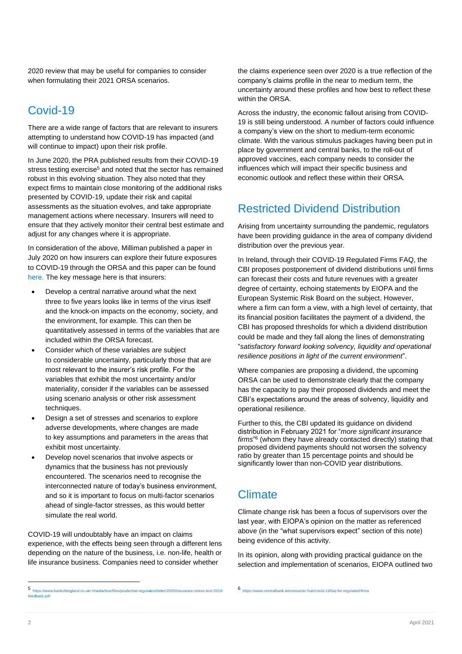2020 review that may be useful for companies to consider when formulating their 2021 ORSA scenarios.

## Covid-19

There are a wide range of factors that are relevant to insurers attempting to understand how COVID-19 has impacted (and will continue to impact) upon their risk profile.

In June 2020, the PRA published results from their COVID-19 stress testing exercise<sup>5</sup> and noted that the sector has remained robust in this evolving situation. They also noted that they expect firms to maintain close monitoring of the additional risks presented by COVID-19, update their risk and capital assessments as the situation evolves, and take appropriate management actions where necessary. Insurers will need to ensure that they actively monitor their central best estimate and adjust for any changes where it is appropriate.

In consideration of the above, Milliman published a paper in July 2020 on how insurers can explore their future exposures to COVID-19 through the ORSA and this paper can be found [here.](https://milliman-cdn.azureedge.net/-/media/milliman/pdfs/articles/covid-19-orsa-guide.ashx) The key message here is that insurers:

- Develop a central narrative around what the next three to five years looks like in terms of the virus itself and the knock-on impacts on the economy, society, and the environment, for example. This can then be quantitatively assessed in terms of the variables that are included within the ORSA forecast.
- Consider which of these variables are subject to considerable uncertainty, particularly those that are most relevant to the insurer's risk profile. For the variables that exhibit the most uncertainty and/or materiality, consider if the variables can be assessed using scenario analysis or other risk assessment techniques.
- Design a set of stresses and scenarios to explore adverse developments, where changes are made to key assumptions and parameters in the areas that exhibit most uncertainty.
- Develop novel scenarios that involve aspects or dynamics that the business has not previously encountered. The scenarios need to recognise the interconnected nature of today's business environment, and so it is important to focus on multi-factor scenarios ahead of single-factor stresses, as this would better simulate the real world.

COVID-19 will undoubtably have an impact on claims experience, with the effects being seen through a different lens depending on the nature of the business, i.e. non-life, health or life insurance business. Companies need to consider whether

the claims experience seen over 2020 is a true reflection of the company's claims profile in the near to medium term, the uncertainty around these profiles and how best to reflect these within the ORSA.

Across the industry, the economic fallout arising from COVID-19 is still being understood. A number of factors could influence a company's view on the short to medium-term economic climate. With the various stimulus packages having been put in place by government and central banks, to the roll-out of approved vaccines, each company needs to consider the influences which will impact their specific business and economic outlook and reflect these within their ORSA.

## Restricted Dividend Distribution

Arising from uncertainty surrounding the pandemic, regulators have been providing guidance in the area of company dividend distribution over the previous year.

In Ireland, through their COVID-19 Regulated Firms FAQ, the CBI proposes postponement of dividend distributions until firms can forecast their costs and future revenues with a greater degree of certainty, echoing statements by EIOPA and the European Systemic Risk Board on the subject. However, where a firm can form a view, with a high level of certainty, that its financial position facilitates the payment of a dividend, the CBI has proposed thresholds for which a dividend distribution could be made and they fall along the lines of demonstrating "*satisfactory forward looking solvency, liquidity and operational resilience positions in light of the current environment*".

Where companies are proposing a dividend, the upcoming ORSA can be used to demonstrate clearly that the company has the capacity to pay their proposed dividends and meet the CBI's expectations around the areas of solvency, liquidity and operational resilience.

Further to this, the CBI updated its guidance on dividend distribution in February 2021 for "*more significant insurance firms*" 6 (whom they have already contacted directly) stating that proposed dividend payments should not worsen the solvency ratio by greater than 15 percentage points and should be significantly lower than non-COVID year distributions.

## **Climate**

Climate change risk has been a focus of supervisors over the last year, with EIOPA's opinion on the matter as referenced above (in the "what supervisors expect" section of this note) being evidence of this activity.

In its opinion, along with providing practical guidance on the selection and implementation of scenarios, EIOPA outlined two

<sup>5</sup> https:// $\sqrt{2}$ [https://www.bankofengland.co.uk/-/media/boe/files/prudential-regulation/letter/2020/insurance-stress-test-2019](https://www.bankofengland.co.uk/-/media/boe/files/prudential-regulation/letter/2020/insurance-stress-test-2019-feedback.pdf) [feedback.pdf](https://www.bankofengland.co.uk/-/media/boe/files/prudential-regulation/letter/2020/insurance-stress-test-2019-feedback.pdf)

<sup>6</sup> <https://www.centralbank.ie/consumer-hub/covid-19/faq-for-regulated-firms>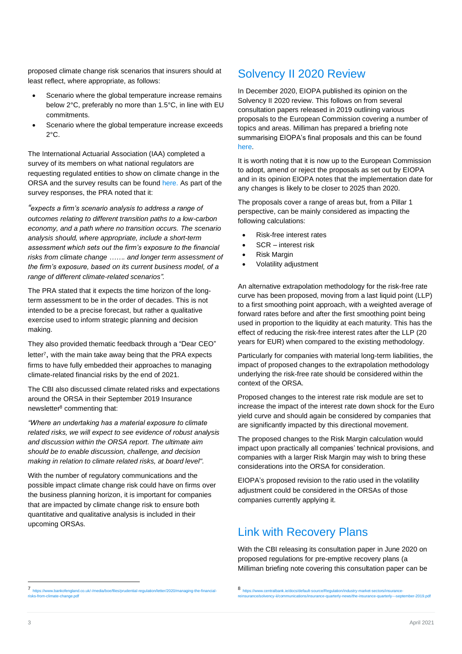proposed climate change risk scenarios that insurers should at least reflect, where appropriate, as follows:

- Scenario where the global temperature increase remains below 2°C, preferably no more than 1.5°C, in line with EU commitments.
- Scenario where the global temperature increase exceeds 2°C.

The International Actuarial Association (IAA) completed a survey of its members on what national regulators are requesting regulated entities to show on climate change in the ORSA and the survey results can be found [here.](https://www.actuaries.org/IAA/Documents/SUBCMTE_ORSA/Meetings/Virtual_April2020/Agenda/6_ORSA_Subcommittee%20_SIF_ClimateSurveyResults_20200410.pdf) As part of the survey responses, the PRA noted that it:

*"expects a firm's scenario analysis to address a range of outcomes relating to different transition paths to a low-carbon economy, and a path where no transition occurs. The scenario analysis should, where appropriate, include a short-term assessment which sets out the firm's exposure to the financial risks from climate change ……. and longer term assessment of the firm's exposure, based on its current business model, of a range of different climate-related scenarios".*

The PRA stated that it expects the time horizon of the longterm assessment to be in the order of decades. This is not intended to be a precise forecast, but rather a qualitative exercise used to inform strategic planning and decision making.

They also provided thematic feedback through a "Dear CEO" letter<sup>7</sup>, with the main take away being that the PRA expects firms to have fully embedded their approaches to managing climate-related financial risks by the end of 2021.

The CBI also discussed climate related risks and expectations around the ORSA in their September 2019 Insurance newsletter<sup>8</sup> commenting that:

*"Where an undertaking has a material exposure to climate related risks, we will expect to see evidence of robust analysis and discussion within the ORSA report. The ultimate aim should be to enable discussion, challenge, and decision making in relation to climate related risks, at board level".*

With the number of regulatory communications and the possible impact climate change risk could have on firms over the business planning horizon, it is important for companies that are impacted by climate change risk to ensure both quantitative and qualitative analysis is included in their upcoming ORSAs.

#### Solvency II 2020 Review

In December 2020, EIOPA published its opinion on the Solvency II 2020 review. This follows on from several consultation papers released in 2019 outlining various proposals to the European Commission covering a number of topics and areas. Milliman has prepared a briefing note summarising EIOPA's final proposals and this can be found [here.](https://ie.milliman.com/-/media/milliman/pdfs/2021-articles/1-11-21-sii-2020-eiopa-opinion.ashx?la=en-gb&hash=3A8F180BB4C11E7D2DA59BAF45669691)

It is worth noting that it is now up to the European Commission to adopt, amend or reject the proposals as set out by EIOPA and in its opinion EIOPA notes that the implementation date for any changes is likely to be closer to 2025 than 2020.

The proposals cover a range of areas but, from a Pillar 1 perspective, can be mainly considered as impacting the following calculations:

- Risk-free interest rates
- SCR interest risk
- Risk Margin
- Volatility adjustment

An alternative extrapolation methodology for the risk-free rate curve has been proposed, moving from a last liquid point (LLP) to a first smoothing point approach, with a weighted average of forward rates before and after the first smoothing point being used in proportion to the liquidity at each maturity. This has the effect of reducing the risk-free interest rates after the LLP (20 years for EUR) when compared to the existing methodology.

Particularly for companies with material long-term liabilities, the impact of proposed changes to the extrapolation methodology underlying the risk-free rate should be considered within the context of the ORSA.

Proposed changes to the interest rate risk module are set to increase the impact of the interest rate down shock for the Euro yield curve and should again be considered by companies that are significantly impacted by this directional movement.

The proposed changes to the Risk Margin calculation would impact upon practically all companies' technical provisions, and companies with a larger Risk Margin may wish to bring these considerations into the ORSA for consideration.

EIOPA's proposed revision to the ratio used in the volatility adjustment could be considered in the ORSAs of those companies currently applying it.

### Link with Recovery Plans

With the CBI releasing its consultation paper in June 2020 on proposed regulations for pre-emptive recovery plans (a Milliman briefing note covering this consultation paper can be

<sup>7</sup> [https://www.bankofengland.co.uk/-/media/boe/files/prudential-regulation/letter/2020/managing-the-financial](https://www.bankofengland.co.uk/-/media/boe/files/prudential-regulation/letter/2020/managing-the-financial-risks-from-climate-change.pdf)[risks-from-climate-change.pdf](https://www.bankofengland.co.uk/-/media/boe/files/prudential-regulation/letter/2020/managing-the-financial-risks-from-climate-change.pdf)

<sup>8</sup> [https://www.centralbank.ie/docs/default-source/Regulation/industry-market-sectors/insurance](https://www.centralbank.ie/docs/default-source/Regulation/industry-market-sectors/insurance-reinsurance/solvency-ii/communications/insurance-quarterly-news/the-insurance-quarterly---september-2019.pdf)ance/solvency-ii/communications/insurance-quarterly-news/the-insurance-quarterly---september-2019.pdf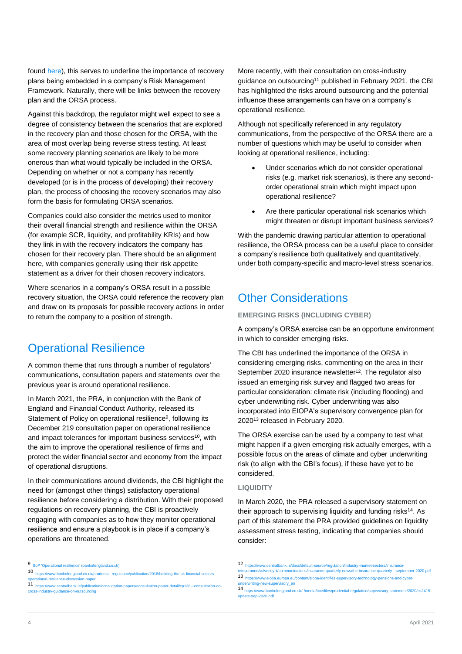found [here\)](https://ie.milliman.com/-/media/milliman/pdfs/articles/cbi-consultation-131-pre-emptive-recovery-planning.ashx), this serves to underline the importance of recovery plans being embedded in a company's Risk Management Framework. Naturally, there will be links between the recovery plan and the ORSA process.

Against this backdrop, the regulator might well expect to see a degree of consistency between the scenarios that are explored in the recovery plan and those chosen for the ORSA, with the area of most overlap being reverse stress testing. At least some recovery planning scenarios are likely to be more onerous than what would typically be included in the ORSA. Depending on whether or not a company has recently developed (or is in the process of developing) their recovery plan, the process of choosing the recovery scenarios may also form the basis for formulating ORSA scenarios.

Companies could also consider the metrics used to monitor their overall financial strength and resilience within the ORSA (for example SCR, liquidity, and profitability KRIs) and how they link in with the recovery indicators the company has chosen for their recovery plan. There should be an alignment here, with companies generally using their risk appetite statement as a driver for their chosen recovery indicators.

Where scenarios in a company's ORSA result in a possible recovery situation, the ORSA could reference the recovery plan and draw on its proposals for possible recovery actions in order to return the company to a position of strength.

### Operational Resilience

A common theme that runs through a number of regulators' communications, consultation papers and statements over the previous year is around operational resilience.

In March 2021, the PRA, in conjunction with the Bank of England and Financial Conduct Authority, released its Statement of Policy on operational resilience<sup>9</sup>, following its December 219 consultation paper on operational resilience and impact tolerances for important business services<sup>10</sup>, with the aim to improve the operational resilience of firms and protect the wider financial sector and economy from the impact of operational disruptions.

In their communications around dividends, the CBI highlight the need for (amongst other things) satisfactory operational resilience before considering a distribution. With their proposed regulations on recovery planning, the CBI is proactively engaging with companies as to how they monitor operational resilience and ensure a playbook is in place if a company's operations are threatened.

More recently, with their consultation on cross-industry guidance on outsourcing<sup>11</sup> published in February 2021, the CBI has highlighted the risks around outsourcing and the potential influence these arrangements can have on a company's operational resilience.

Although not specifically referenced in any regulatory communications, from the perspective of the ORSA there are a number of questions which may be useful to consider when looking at operational resilience, including:

- Under scenarios which do not consider operational risks (e.g. market risk scenarios), is there any secondorder operational strain which might impact upon operational resilience?
- Are there particular operational risk scenarios which might threaten or disrupt important business services?

With the pandemic drawing particular attention to operational resilience, the ORSA process can be a useful place to consider a company's resilience both qualitatively and quantitatively, under both company-specific and macro-level stress scenarios.

#### Other Considerations

#### **EMERGING RISKS (INCLUDING CYBER)**

A company's ORSA exercise can be an opportune environment in which to consider emerging risks.

The CBI has underlined the importance of the ORSA in considering emerging risks, commenting on the area in their September 2020 insurance newsletter<sup>12</sup>. The regulator also issued an emerging risk survey and flagged two areas for particular consideration: climate risk (including flooding) and cyber underwriting risk. Cyber underwriting was also incorporated into EIOPA's supervisory convergence plan for 2020<sup>13</sup> released in February 2020.

The ORSA exercise can be used by a company to test what might happen if a given emerging risk actually emerges, with a possible focus on the areas of climate and cyber underwriting risk (to align with the CBI's focus), if these have yet to be considered.

#### **LIQUIDITY**

In March 2020, the PRA released a supervisory statement on their approach to supervising liquidity and funding risks<sup>14</sup>. As part of this statement the PRA provided guidelines on liquidity assessment stress testing, indicating that companies should consider:

<sup>9</sup> [SoP 'Operational resilience' \(bankofengland.co.uk\)](https://www.bankofengland.co.uk/-/media/boe/files/prudential-regulation/statement-of-policy/2021/operational-resilience-march-2021.pdf?la=en&hash=908CF0854077E5F466D512BFB904C6EA4503F54B)

<sup>10</sup> [https://www.bankofengland.co.uk/prudential-regulation/publication/2018/building-the-uk-financial-sectors](https://www.bankofengland.co.uk/prudential-regulation/publication/2018/building-the-uk-financial-sectors-operational-resilience-discussion-paper)[operational-resilience-discussion-paper](https://www.bankofengland.co.uk/prudential-regulation/publication/2018/building-the-uk-financial-sectors-operational-resilience-discussion-paper)

<sup>11</sup> [https://www.centralbank.ie/publication/consultation-papers/consultation-paper-detail/cp138---consultation-on](https://www.centralbank.ie/publication/consultation-papers/consultation-paper-detail/cp138---consultation-on-cross-industry-guidance-on-outsourcing)[cross-industry-guidance-on-outsourcing](https://www.centralbank.ie/publication/consultation-papers/consultation-paper-detail/cp138---consultation-on-cross-industry-guidance-on-outsourcing)

<sup>12</sup> [https://www.centralbank.ie/docs/default-source/regulation/industry-market-sectors/insurance](https://www.centralbank.ie/docs/default-source/regulation/industry-market-sectors/insurance-reinsurance/solvency-ii/communications/insurance-quarterly-news/the-insurance-quarterly---september-2020.pdf?sfvrsn=6https://www.centralbank.ie/docs/default-source/regulation/industry-market-sectors/insurance-reinsurance/solvency-ii/communications/insurance-quarterly-news/the-insurance-quarterly---september-2020.pdf?sfvrsn=6)[reinsurance/solvency-ii/communications/insurance-quarterly-news/the-insurance-quarterly---september-2020.pdf](https://www.centralbank.ie/docs/default-source/regulation/industry-market-sectors/insurance-reinsurance/solvency-ii/communications/insurance-quarterly-news/the-insurance-quarterly---september-2020.pdf?sfvrsn=6https://www.centralbank.ie/docs/default-source/regulation/industry-market-sectors/insurance-reinsurance/solvency-ii/communications/insurance-quarterly-news/the-insurance-quarterly---september-2020.pdf?sfvrsn=6)<br>13 https://www.eiopa.europa.eu/content/eiopa-identifies-supervisory-technology-pensions-and-cyber-

<sup>.&</sup>lt;br>Int/eiopa-identifies-supervisory-technology-pensions-and-cyberunderware<br>The supervisory\_en

<sup>14</sup> [https://www.bankofengland.co.uk/-/media/boe/files/prudential-regulation/supervisory-statement/2020/ss2415](https://www.bankofengland.co.uk/-/media/boe/files/prudential-regulation/supervisory-statement/2020/ss2415-update-sep-2020.pdf?la=en&hash=4E72E06DAAF9FDA47987516A0B3141BD6E4DFEB0) [update-sep-2020.pdf](https://www.bankofengland.co.uk/-/media/boe/files/prudential-regulation/supervisory-statement/2020/ss2415-update-sep-2020.pdf?la=en&hash=4E72E06DAAF9FDA47987516A0B3141BD6E4DFEB0)